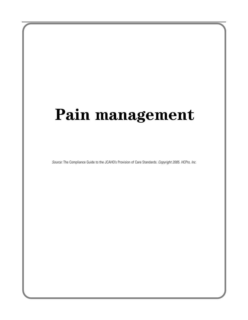# **Pain management**

Source: The Compliance Guide to the JCAHO's Provision of Care Standards. Copyright 2005. HCPro, Inc.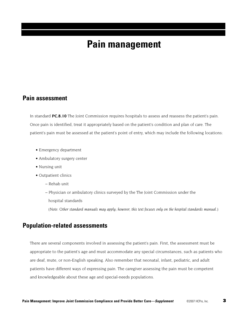## **Pain management**

## **Pain assessment**

In standard **PC.8.10** The Joint Commission requires hospitals to assess and reassess the patient's pain. Once pain is identified, treat it appropriately based on the patient's condition and plan of care. The patient's pain must be assessed at the patient's point of entry, which may include the following locations:

- Emergency department
- Ambulatory surgery center
- Nursing unit
- Outpatient clinics
	- Rehab unit
	- Physician or ambulatory clinics surveyed by the The Joint Commission under the hospital standards

(*Note: Other standard manuals may apply; however, this text focuses only on the hospital standards manual.*)

## **Population-related assessments**

There are several components involved in assessing the patient's pain. First, the assessment must be appropriate to the patient's age and must accommodate any special circumstances, such as patients who are deaf, mute, or non-English speaking. Also remember that neonatal, infant, pediatric, and adult patients have different ways of expressing pain. The caregiver assessing the pain must be competent and knowledgeable about these age and special-needs populations.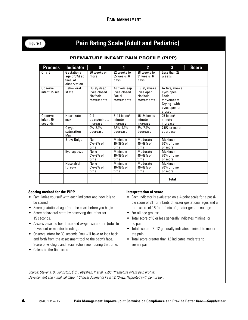## **Figure 1 Pain Rating Scale (Adult and Pediatric)**

### **PREMATURE INFANT PAIN PROFILE (PIPP)**

| <b>Process</b>                  | <b>Indicator</b>                                                                                                             | 0                                                    | 1                                                  | $\overline{\mathbf{2}}$                            | 3                                                                                           | <b>Score</b> |
|---------------------------------|------------------------------------------------------------------------------------------------------------------------------|------------------------------------------------------|----------------------------------------------------|----------------------------------------------------|---------------------------------------------------------------------------------------------|--------------|
| Chart                           | Gestational<br>age (PCA) at<br>time of<br>observation                                                                        | 36 weeks or<br>more                                  | 32 weeks to<br>35 weeks, 6<br>days                 | 28 weeks to<br>31 weeks, 6<br>days                 | Less than 28<br>weeks                                                                       |              |
| Observe<br>infant 15 sec.       | <b>Behavioral</b><br>state                                                                                                   | Quiet/sleep<br>Eyes closed<br>No facial<br>movements | Active/sleep<br>Eyes closed<br>Facial<br>movements | Quiet/awake<br>Eyes open<br>No facial<br>movements | Active/awake<br>Eyes open<br>Facial<br>movements<br>Crying (with<br>eyes open or<br>closed) |              |
| Observe<br>infant 30<br>seconds | Heart rate<br>max and the set of the set of the set of the set of the set of the set of the set of the set of the set of the | $0-4$<br>beats/minute<br>increase                    | $5-14$ beats/<br>minute<br>increase                | $15 - 24$ beats/<br>minute<br>increase             | 25 beats/<br>minute<br>increase                                                             |              |
|                                 | Oxygen<br>saturation<br>Min.                                                                                                 | $0\% - 2.4\%$<br>decrease                            | $2.5\% - 4.9\%$<br>decrease                        | $5\% - 7.4\%$<br>decrease                          | $7.5\%$ or more<br>decrease                                                                 |              |
|                                 | <b>Brow Bulge</b>                                                                                                            | <b>Non</b><br>$0\% - 9\%$ of<br>time                 | Minimum<br>$10 - 39%$ of<br>time                   | Moderate<br>$40 - 69%$ of<br>time                  | Maximum<br>70% of time<br>or more                                                           |              |
|                                 | Eye squeeze                                                                                                                  | None<br>$0\% - 9\%$ of<br>time                       | Minimum<br>$10 - 39\%$ of<br>time                  | Moderate<br>$40 - 69%$ of<br>time                  | Maximum<br>70% of time<br>or more                                                           |              |
|                                 | Nasolabial<br>furrow                                                                                                         | None<br>$0\% - 9\%$ of<br>time                       | Minimum<br>$10 - 39%$ of<br>time                   | Moderate<br>$40 - 69%$ of<br>time                  | Maximum<br>70% of time<br>or more                                                           |              |
|                                 |                                                                                                                              |                                                      |                                                    |                                                    | <b>Total</b>                                                                                |              |

#### **Scoring method for the PIPP**

- Familiarize yourself with each indicator and how it is to be scored.
- Score gestational age from the chart before you begin.
- Score behavioral state by observing the infant for 15 seconds.
- Assess baseline heart rate and oxygen saturation (refer to flowsheet or monitor trending).
- Observe infant for 30 seconds. You will have to look back and forth from the assessment tool to the baby's face. Score physiologic and facial action seen during that time.
- Calculate the final score.

#### **Interpretation of score**

- Each indicator is evaluated on a 4-point scale for a possible score of 21 for infants of lesser gestational ages and a total score of 18 for infants of greater gestational age.
- For all age groups:
- Total score of 6 or less generally indicates minimal or no pain.
- Total score of 7–12 generally indicates minimal to moderate pain.
- Total score greater than 12 indicates moderate to severe pain.

Source: Stevens, B., Johnston, C.C, Petryshen, P et al. 1996 "Premature infant pain profile: Development and initial validation" Clinical Journal of Pain 12:13–22. Reprinted with permission.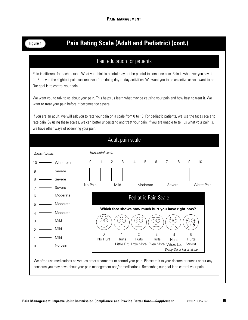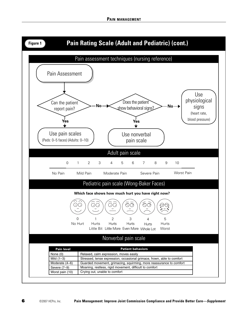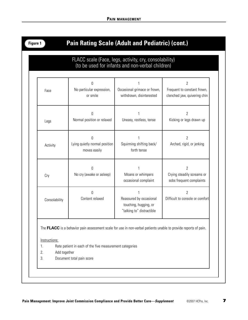| -ıaure |  |
|--------|--|
|        |  |

## **Pain Rating Scale (Adult and Pediatric) (cont.)**

## FLACC scale (Face, legs, activity, cry, consolability) (to be used for infants and non-verbal children)

| Face          | $\mathbf 0$<br>No particular expression,<br>or smile      | Occasional grimace or frown,<br>withdrawn, disinterested                      | $\overline{2}$<br>Frequent to constant frown,<br>clenched jaw, quivering chin |
|---------------|-----------------------------------------------------------|-------------------------------------------------------------------------------|-------------------------------------------------------------------------------|
| Legs          | $\Omega$<br>Normal position or relaxed                    | Uneasy, restless, tense                                                       | $\overline{2}$<br>Kicking or legs drawn up                                    |
| Activity      | $\Omega$<br>Lying quietly normal position<br>moves easily | Squirming shifting back/<br>forth tense                                       | $\overline{2}$<br>Arched, rigid, or jerking                                   |
| Cry           | $\Omega$<br>No cry (awake or asleep)                      | Moans or whimpers<br>occasional complaint                                     | $\overline{2}$<br>Crying steadily screams or<br>sobs frequent complaints      |
| Consolability | Ŋ<br>Content relaxed                                      | Reassured by occasional<br>touching, hugging, or<br>"talking to" distractible | $\overline{2}$<br>Difficult to console or comfort                             |

Instructions:

- 1. Rate patient in each of the five measurement categories
- 2. Add together
- 3. Document total pain score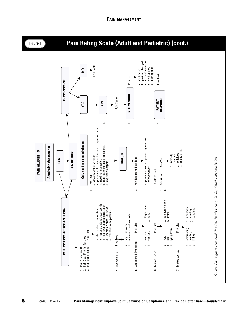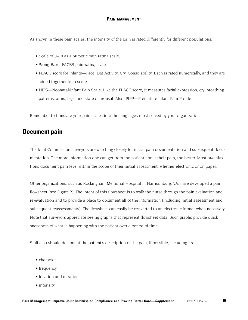As shown in these pain scales, the intensity of the pain is rated differently for different populations:

- Scale of 0–10 as a numeric pain rating scale.
- Wong-Baker FACES pain-rating scale.
- FLACC score for infants—Face, Leg Activity, Cry, Consolability. Each is rated numerically, and they are added together for a score.
- NIPS—Neonatal/Infant Pain Scale. Like the FLACC score, it measures facial expression, cry, breathing patterns, arms, legs, and state of arousal. Also, PIPP—Premature Infant Pain Profile.

Remember to translate your pain scales into the languages most served by your organization.

## **Document pain**

The Joint Commission surveyors are watching closely for initial pain documentation and subsequent documentation. The more information one can get from the patient about their pain, the better. Most organizations document pain level within the scope of their initial assessment, whether electronic or on paper.

Other organizations, such as Rockingham Memorial Hospital in Harrisonburg, VA, have developed a pain flowsheet (see Figure 2). The intent of this flowsheet is to walk the nurse through the pain evaluation and re-evaluation and to provide a place to document all of the information (including initial assessment and subsequent reassessments). The flowsheet can easily be converted to an electronic format when necessary. Note that surveyors appreciate seeing graphs that represent flowsheet data. Such graphs provide quick snapshots of what is happening with the patient over a period of time.

Staff also should document the patient's description of the pain, if possible, including its:

- character
- frequency
- location and duration
- intensity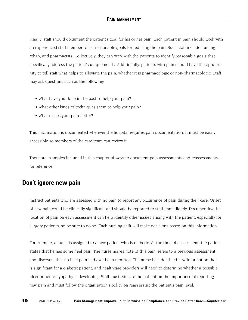Finally, staff should document the patient's goal for his or her pain. Each patient in pain should work with an experienced staff member to set reasonable goals for reducing the pain. Such staff include nursing, rehab, and pharmacists. Collectively, they can work with the patients to identify reasonable goals that specifically address the patient's unique needs. Additionally, patients with pain should have the opportunity to tell staff what helps to alleviate the pain, whether it is pharmacologic or non-pharmacologic. Staff may ask questions such as the following:

- What have you done in the past to help your pain?
- What other kinds of techniques seem to help your pain?
- What makes your pain better?

This information is documented wherever the hospital requires pain documentation. It must be easily accessible so members of the care team can review it.

There are examples included in this chapter of ways to document pain assessments and reassessments for reference.

## **Don't ignore new pain**

Instruct patients who are assessed with no pain to report any occurrence of pain during their care. Onset of new pain could be clinically significant and should be reported to staff immediately. Documenting the location of pain on each assessment can help identify other issues arising with the patient, especially for surgery patients, so be sure to do so. Each nursing shift will make decisions based on this information.

For example, a nurse is assigned to a new patient who is diabetic. At the time of assessment, the patient states that he has some heel pain. The nurse makes note of this pain, refers to a previous assessment, and discovers that no heel pain had ever been reported. The nurse has identified new information that is significant for a diabetic patient, and healthcare providers will need to determine whether a possible ulcer or neuromyopathy is developing. Staff must educate the patient on the importance of reporting new pain and must follow the organization's policy on reassessing the patient's pain level.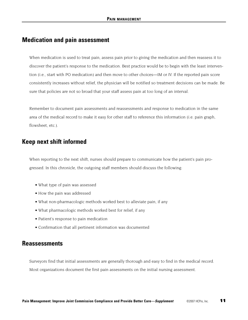## **Medication and pain assessment**

When medication is used to treat pain, assess pain prior to giving the medication and then reassess it to discover the patient's response to the medication. Best practice would be to begin with the least intervention (i.e., start with PO medication) and then move to other choices—IM or IV. If the reported pain score consistently increases without relief, the physician will be notified so treatment decisions can be made. Be sure that policies are not so broad that your staff assess pain at too long of an interval.

Remember to document pain assessments and reassessments and response to medication in the same area of the medical record to make it easy for other staff to reference this information (i.e. pain graph, flowsheet, etc.).

## **Keep next shift informed**

When reporting to the next shift, nurses should prepare to communicate how the patient's pain progressed. In this chronicle, the outgoing staff members should discuss the following:

- What type of pain was assessed
- How the pain was addressed
- What non-pharmacologic methods worked best to alleviate pain, if any
- What pharmacologic methods worked best for relief, if any
- Patient's response to pain medication
- Confirmation that all pertinent information was documented

## **Reassessments**

Surveyors find that initial assessments are generally thorough and easy to find in the medical record.

Most organizations document the first pain assessments on the initial nursing assessment.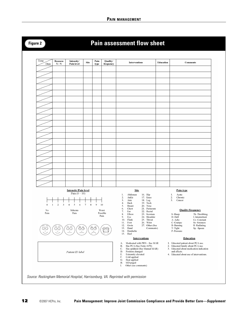## **Figure 2 Pain assessment flow sheet**

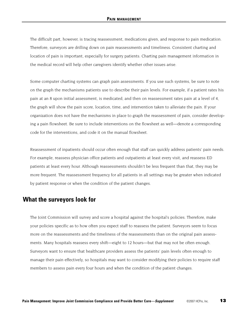The difficult part, however, is tracing reassessment, medications given, and response to pain medication. Therefore, surveyors are drilling down on pain reassessments and timeliness. Consistent charting and location of pain is important, especially for surgery patients. Charting pain management information in the medical record will help other caregivers identify whether other issues arise.

Some computer charting systems can graph pain assessments. If you use such systems, be sure to note on the graph the mechanisms patients use to describe their pain levels. For example, if a patient rates his pain at an 8 upon initial assessment, is medicated, and then on reassessment rates pain at a level of 4, the graph will show the pain score, location, time, and intervention taken to alleviate the pain. If your organization does not have the mechanisms in place to graph the reassessment of pain, consider developing a pain flowsheet. Be sure to include interventions on the flowsheet as well—denote a corresponding code for the interventions, and code it on the manual flowsheet.

Reassessment of inpatients should occur often enough that staff can quickly address patients' pain needs. For example, reassess physician office patients and outpatients at least every visit, and reassess ED patients at least every hour. Although reassessments shouldn't be less frequent than that, they may be more frequent. The reassessment frequency for all patients in all settings may be greater when indicated by patient response or when the condition of the patient changes.

## **What the surveyors look for**

The Joint Commission will survey and score a hospital against the hospital's policies. Therefore, make your policies specific as to how often you expect staff to reassess the patient. Surveyors seem to focus more on the reassessments and the timeliness of the reassessments than on the original pain assessments. Many hospitals reassess every shift—eight to 12 hours—but that may not be often enough. Surveyors want to ensure that healthcare providers assess the patients' pain levels often enough to manage their pain effectively, so hospitals may want to consider modifying their policies to require staff members to assess pain every four hours and when the condition of the patient changes.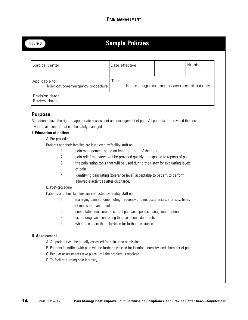| ш<br>п<br>r 4 |  |
|---------------|--|
|---------------|--|

## **Sample Policies**

| Surgical center                                  | Date effective |                                            | Number |
|--------------------------------------------------|----------------|--------------------------------------------|--------|
| Applicable to:<br>Medication/emergency procedure | Title:         | Pain management and assessment of patients |        |
| Revision dates:<br>Review dates:                 |                |                                            |        |

### **Purpose:**

All patients have the right to appropriate assessment and management of pain. All patients are provided the best level of pain control that can be safely managed.

#### **I. Education of patient**

### A. Pre-procedure

Patients and their families are instructed by facility staff on

- 1. pain management being an important part of their care
- 2. pain relief measures will be provided quickly in response to reports of pain
- 3. the pain rating tools that will be used during their stay for evaluating levels of pain
- 4. identifying pain rating (tolerance level) acceptable to patient to perform allowable activities after discharge.

#### B. Post-procedure

Patients and their families are instructed by facility staff on

- 1. managing pain at home, noting frequency of pain, occurrences, intensity, times of medication and relief
- 2. preventative measures to control pain and specific management options
- 3. use of drugs and controlling their common side effects
- 4. when to contact their physician for further assistance

#### **II. Assessment**

A. All patients will be initially assessed for pain upon admission

- B. Patients identified with pain will be further assessed for location, intensity, and character of pain
- C. Regular assessments take place until the problem is resolved
- D. To facilitate rating pain intensity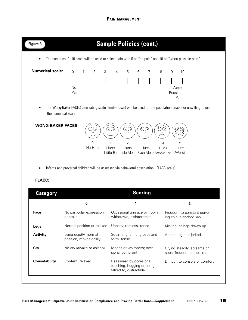|                                  | The numerical 0-10 scale will be used to select pain with 0 as "no pain" and 10 as "worst possible pain." |                                                 |   |              |                                                                       |                              |                |            |          |                                                                                                                 |
|----------------------------------|-----------------------------------------------------------------------------------------------------------|-------------------------------------------------|---|--------------|-----------------------------------------------------------------------|------------------------------|----------------|------------|----------|-----------------------------------------------------------------------------------------------------------------|
| <b>Numerical scale:</b>          | $\Omega$                                                                                                  | 2<br>$\mathbf{1}$                               | 3 | 4            | 5                                                                     | 6                            | $\overline{7}$ | 8          | 9        | 10                                                                                                              |
|                                  |                                                                                                           |                                                 |   |              |                                                                       |                              |                |            |          |                                                                                                                 |
|                                  | No<br>Pain                                                                                                |                                                 |   |              |                                                                       |                              |                |            | Possible | Worst<br>Pain                                                                                                   |
|                                  | the numerical scale.                                                                                      |                                                 |   |              |                                                                       |                              |                |            |          | The Wong-Baker FACES pain rating scale (smile-frown) will be used for the population unable or unwilling to use |
|                                  |                                                                                                           | $\Omega$                                        |   | $\mathbf{1}$ |                                                                       |                              |                |            |          |                                                                                                                 |
| <b>FLACC:</b><br><b>Category</b> | Infants and preverbal children will be assessed via behavioral observation (FLACC scale)                  | No Hurt                                         |   | Hurts        | $\overline{2}$<br>Hurts<br>Little Bit Little More Even More Whole Lot | 3<br>Hurts<br><b>Scoring</b> |                | 4<br>Hurts |          | 5<br>Hurts<br>Worst                                                                                             |
|                                  |                                                                                                           | $\pmb{0}$                                       |   |              | 1                                                                     |                              |                |            |          | $\mathbf{2}$                                                                                                    |
| Face                             | or smile                                                                                                  | No particular expression                        |   |              | Occasional grimace or frown,<br>withdrawn, disinterested              |                              |                |            |          | Frequent to constant quiver-<br>ing chin, clenched jaw                                                          |
| Legs                             |                                                                                                           | Normal position or relaxed                      |   |              | Uneasy, restless, tense                                               |                              |                |            |          | Kicking, or legs drawn up                                                                                       |
| <b>Activity</b>                  |                                                                                                           | Lying quietly, normal<br>position, moves easily |   | forth, tense | Squirming, shifting back and                                          |                              |                |            |          | Arched, rigid or jerked                                                                                         |
| Cry                              |                                                                                                           | No cry (awake or asleep)                        |   |              | Moans or whimpers; occa-<br>sional complaint                          |                              |                |            |          | Crying steadily, screams or<br>sobs, frequent complaints                                                        |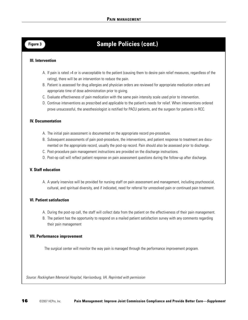## **Figure 3 Sample Policies (cont.)**

#### **III. Intervention**

- A. If pain is rated >4 or is unacceptable to the patient (causing them to desire pain relief measures, regardless of the rating), there will be an intervention to reduce the pain.
- B. Patient is assessed for drug allergies and physician orders are reviewed for appropriate medication orders and appropriate time of dose administration prior to giving.
- C. Evaluate effectiveness of pain medication with the same pain intensity scale used prior to intervention.
- D. Continue interventions as prescribed and applicable to the patient's needs for relief. When interventions ordered prove unsuccessful, the anesthesiologist is notified for PACU patients, and the surgeon for patients in RCC.

#### **IV. Documentation**

- A. The initial pain assessment is documented on the appropriate record pre-procedure.
- B. Subsequent assessments of pain post-procedure, the interventions, and patient response to treatment are documented on the appropriate record, usually the post-op record. Pain should also be assessed prior to discharge.
- C. Post-procedure pain management instructions are provided on the discharge instructions.
- D. Post-op call will reflect patient response on pain assessment questions during the follow-up after discharge.

#### **V. Staff education**

A. A yearly inservice will be provided for nursing staff on pain assessment and management, including psychosocial, cultural, and spiritual diversity, and if indicated, need for referral for unresolved pain or continued pain treatment.

#### **VI. Patient satisfaction**

- A. During the post-op call, the staff will collect data from the patient on the effectiveness of their pain management.
- B. The patient has the opportunity to respond on a mailed patient satisfaction survey with any comments regarding their pain management

#### **VII. Performance improvement**

The surgical center will monitor the way pain is managed through the performance improvement program.

Source: Rockingham Memorial Hospital, Harrisonburg, VA. Reprinted with permission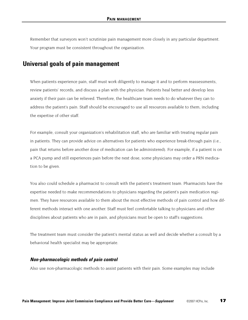Remember that surveyors won't scrutinize pain management more closely in any particular department. Your program must be consistent throughout the organization.

## **Universal goals of pain management**

When patients experience pain, staff must work diligently to manage it and to perform reassessments, review patients' records, and discuss a plan with the physician. Patients heal better and develop less anxiety if their pain can be relieved. Therefore, the healthcare team needs to do whatever they can to address the patient's pain. Staff should be encouraged to use all resources available to them, including the expertise of other staff.

For example, consult your organization's rehabilitation staff, who are familiar with treating regular pain in patients. They can provide advice on alternatives for patients who experience break-through pain (i.e., pain that returns before another dose of medication can be administered). For example, if a patient is on a PCA pump and still experiences pain before the next dose, some physicians may order a PRN medication to be given.

You also could schedule a pharmacist to consult with the patient's treatment team. Pharmacists have the expertise needed to make recommendations to physicians regarding the patient's pain medication regimen. They have resources available to them about the most effective methods of pain control and how different methods interact with one another. Staff must feel comfortable talking to physicians and other disciplines about patients who are in pain, and physicians must be open to staff's suggestions.

The treatment team must consider the patient's mental status as well and decide whether a consult by a behavioral health specialist may be appropriate.

#### **Non-pharmacologic methods of pain control**

Also use non-pharmacologic methods to assist patients with their pain. Some examples may include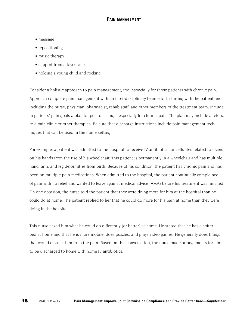- massage
- repositioning
- music therapy
- support from a loved one
- holding a young child and rocking

Consider a holistic approach to pain management, too, especially for those patients with chronic pain. Approach complete pain management with an inter-disciplinary team effort, starting with the patient and including the nurse, physician, pharmacist, rehab staff, and other members of the treatment team. Include in patients' pain goals a plan for post discharge, especially for chronic pain. The plan may include a referral to a pain clinic or other therapies. Be sure that discharge instructions include pain management techniques that can be used in the home setting.

For example, a patient was admitted to the hospital to receive IV antibiotics for cellulites related to ulcers on his hands from the use of his wheelchair. This patient is permanently in a wheelchair and has multiple hand, arm, and leg deformities from birth. Because of his condition, the patient has chronic pain and has been on multiple pain medications. When admitted to the hospital, the patient continually complained of pain with no relief and wanted to leave against medical advice (AMA) before his treatment was finished. On one occasion, the nurse told the patient that they were doing more for him at the hospital than he could do at home. The patient replied to her that he could do more for his pain at home than they were doing in the hospital.

This nurse asked him what he could do differently (or better) at home. He stated that he has a softer bed at home and that he is more mobile, does puzzles, and plays video games. He generally does things that would distract him from the pain. Based on this conversation, the nurse made arrangements for him to be discharged to home with home IV antibiotics.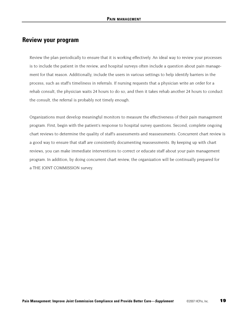## **Review your program**

Review the plan periodically to ensure that it is working effectively. An ideal way to review your processes is to include the patient in the review, and hospital surveys often include a question about pain management for that reason. Additionally, include the users in various settings to help identify barriers in the process, such as staff's timeliness in referrals. If nursing requests that a physician write an order for a rehab consult, the physician waits 24 hours to do so, and then it takes rehab another 24 hours to conduct the consult, the referral is probably not timely enough.

Organizations must develop meaningful monitors to measure the effectiveness of their pain management program. First, begin with the patient's response to hospital survey questions. Second, complete ongoing chart reviews to determine the quality of staff's assessments and reassessments. Concurrent chart review is a good way to ensure that staff are consistently documenting reassessments. By keeping up with chart reviews, you can make immediate interventions to correct or educate staff about your pain management program. In addition, by doing concurrent chart review, the organization will be continually prepared for a THE JOINT COMMISSION survey.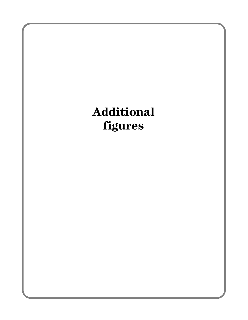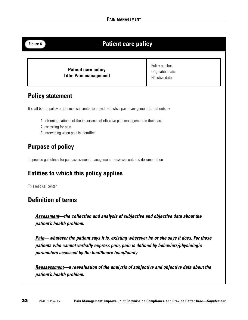## **Figure 4 Patient care policy Policy statement Patient care policy Title: Pain management**  Policy number: Origination date: Effective date:

It shall be the policy of this medical center to provide effective pain management for patients by

- 1. informing patients of the importance of effective pain management in their care
- 2. assessing for pain
- 3. intervening when pain is identified

## **Purpose of policy**

To provide guidelines for pain assessment, management, reassessment, and documentation

## **Entities to which this policy applies**

This medical center

## **Definition of terms**

**Assessment—the collection and analysis of subjective and objective data about the patient's health problem.**

**Pain—whatever the patient says it is, existing wherever he or she says it does. For those patients who cannot verbally express pain, pain is defined by behaviors/physiologic parameters assessed by the healthcare team/family.**

**Reassessment—a reevaluation of the analysis of subjective and objective data about the patient's health problem.**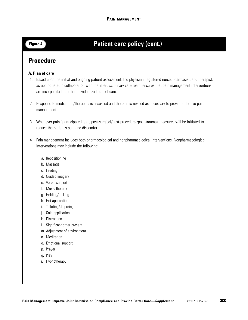## **Figure 4 Patient care policy (cont.)**

## **Procedure**

#### **A. Plan of care**

- 1. Based upon the initial and ongoing patient assessment, the physician, registered nurse, pharmacist, and therapist, as appropriate, in collaboration with the interdisciplinary care team, ensures that pain management interventions are incorporated into the individualized plan of care.
- 2. Response to medication/therapies is assessed and the plan is revised as necessary to provide effective pain management.
- 3. Whenever pain is anticipated (e.g., post-surgical/post-procedural/post-trauma), measures will be initiated to reduce the patient's pain and discomfort.
- 4. Pain management includes both pharmacological and nonpharmacological interventions. Nonpharmacological interventions may include the following:
	- a. Repositioning
	- b. Massage
	- c. Feeding
	- d. Guided imagery
	- e. Verbal support
	- f. Music therapy
	- g. Holding/rocking
	- h. Hot application
	- i. Toileting/diapering
	- j. Cold application
	- k. Distraction
	- l. Significant other present
	- m. Adjustment of environment
	- n. Meditation
	- o. Emotional support
	- p. Prayer
	- q. Play
	- r. Hypnotherapy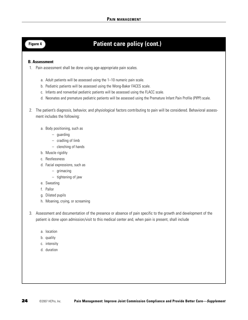## **Figure 4 Patient care policy (cont.)**

#### **B. Assessment**

- 1. Pain assessment shall be done using age-appropriate pain scales.
	- a. Adult patients will be assessed using the 1–10 numeric pain scale.
	- b. Pediatric patients will be assessed using the Wong-Baker FACES scale.
	- c. Infants and nonverbal pediatric patients will be assessed using the FLACC scale.
	- d. Neonates and premature pediatric patients will be assessed using the Premature Infant Pain Profile (PIPP) scale.
- 2. The patient's diagnosis, behavior, and physiological factors contributing to pain will be considered. Behavioral assessment includes the following:
	- a. Body positioning, such as
		- guarding
		- cradling of limb
		- clenching of hands
	- b. Muscle rigidity
	- c. Restlessness
	- d. Facial expressions, such as
		- grimacing
		- tightening of jaw
	- e. Sweating
	- f. Pallor
	- g. Dilated pupils
	- h. Moaning, crying, or screaming
- 3. Assessment and documentation of the presence or absence of pain specific to the growth and development of the patient is done upon admission/visit to this medical center and, when pain is present, shall include
	- a. location
	- b. quality
	- c. intensity
	- d. duration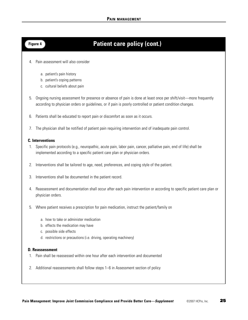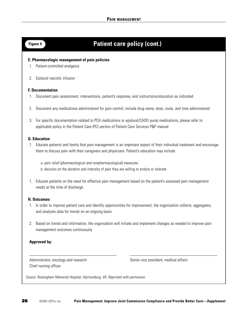## **Figure 4 Patient care policy (cont.)**

#### **E. Pharmacologic management of pain policies**

- 1. Patient-controlled analgesia
- 2. Epidural narcotic infusion

#### **F. Documentation**

- 1. Document pain assessment, interventions, patient's response, and instructions/education as indicated
- 2. Document any medications administered for pain control, include drug name, dose, route, and time administered
- 3. For specific documentation related to PCA medications or epidural/CADD pump medications, please refer to applicable policy in the Patient Care (PC) section of Patient Care Services P&P manual

#### **G. Education**

- 1. Educate patients and family that pain management is an important aspect of their individual treatment and encourage them to discuss pain with their caregivers and physicians. Patient's education may include
	- a. pain relief (pharmacological and nonpharmacological) measures
	- b. decision on the duration and intensity of pain they are willing to endure or tolerate
- 1. Educate patients on the need for effective pain management based on the patient's assessed pain management needs at the time of discharge.

#### **H. Outcomes**

- 1. In order to improve patient care and identify opportunities for improvement, the organization collects, aggregates, and analyzes data for trends on an ongoing basis
- 2. Based on trends and information, the organization will initiate and implement changes as needed to improve pain management outcomes continuously

\_\_\_\_\_\_\_\_\_\_\_\_\_\_\_\_\_\_\_\_\_\_\_\_\_\_\_\_\_\_\_\_\_\_\_\_\_\_\_\_\_ \_\_\_\_\_\_\_\_\_\_\_\_\_\_\_\_\_\_\_\_\_\_\_\_\_\_\_\_\_\_\_\_\_\_\_\_\_\_\_\_\_

#### **Approved by:**

Administrator, oncology and research Senior vice president, medical affairs Chief nursing officer

Source: Rockingham Memorial Hospital, Harrisonburg, VA. Reprinted with permission.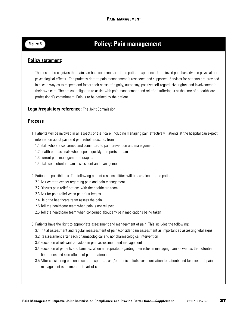## **Figure 5 Policy: Pain management**

### **Policy statement:**

The hospital recognizes that pain can be a common part of the patient experience. Unrelieved pain has adverse physical and psychological effects. The patient's right to pain management is respected and supported. Services for patients are provided in such a way as to respect and foster their sense of dignity, autonomy, positive self-regard, civil rights, and involvement in their own care. The ethical obligation to assist with pain management and relief of suffering is at the core of a healthcare professional's commitment. Pain is to be defined by the patient.

#### **Legal/regulatory reference:** The Joint Commission

#### **Process**

- 1. Patients will be involved in all aspects of their care, including managing pain effectively. Patients at the hospital can expect information about pain and pain relief measures from
	- 1.1 staff who are concerned and committed to pain prevention and management
	- 1.2 health professionals who respond quickly to reports of pain
	- 1.3 current pain management therapies
	- 1.4 staff competent in pain assessment and management
- 2. Patient responsibilities: The following patient responsibilities will be explained to the patient:
	- 2.1 Ask what to expect regarding pain and pain management
	- 2.2 Discuss pain relief options with the healthcare team
	- 2.3 Ask for pain relief when pain first begins
	- 2.4 Help the healthcare team assess the pain
	- 2.5 Tell the healthcare team when pain is not relieved
	- 2.6 Tell the healthcare team when concerned about any pain medications being taken
- 3. Patients have the right to appropriate assessment and management of pain. This includes the following:
	- 3.1 Initial assessment and regular reassessment of pain (consider pain assessment as important as assessing vital signs)
	- 3.2 Reassessment after each pharmacological and nonpharmacological intervention
	- 3.3 Education of relevant providers in pain assessment and management
	- 3.4 Education of patients and families, when appropriate, regarding their roles in managing pain as well as the potential limitations and side effects of pain treatments
	- 3.5 After considering personal, cultural, spiritual, and/or ethnic beliefs, communication to patients and families that pain management is an important part of care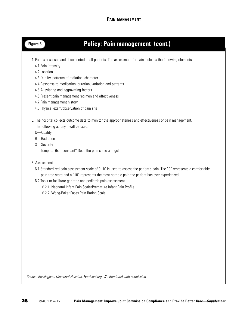

## **Figure 5 Policy: Pain management (cont.)**

4. Pain is assessed and documented in all patients. The assessment for pain includes the following elements:

- 4.1 Pain intensity
- 4.2 Location
- 4.3 Quality, patterns of radiation, character
- 4.4 Response to medication, duration, variation and patterns
- 4.5 Alleviating and aggravating factors
- 4.6 Present pain management regimen and effectiveness
- 4.7 Pain management history
- 4.8 Physical exam/observation of pain site
- 5. The hospital collects outcome data to monitor the appropriateness and effectiveness of pain management.
	- The following acronym will be used:
	- Q—Quality
	- R—Radiation
	- S—Severity
	- T—Temporal (Is it constant? Does the pain come and go?)
- 6. Assessment
	- 6.1 Standardized pain assessment scale of 0–10 is used to assess the patient's pain. The "0" represents a comfortable, pain-free state and a "10" represents the most horrible pain the patient has ever experienced.
	- 6.2 Tools to facilitate geriatric and pediatric pain assessment
		- 6.2.1. Neonatal Infant Pain Scale/Premature Infant Pain Profile
		- 6.2.2. Wong-Baker Faces Pain Rating Scale

Source: Rockingham Memorial Hospital, Harrisonburg, VA. Reprinted with permission.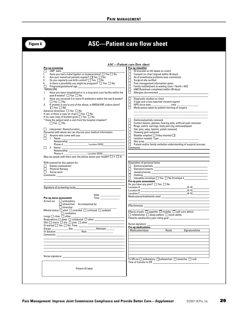## **Figure 6 ASC—Patient care flow sheet**

| Pre-op screening:                                                                                                                                                                                                                                                                                                                                                                                                                                                                              | Pre-op checklist                                                                                                                                                                                                                           |
|------------------------------------------------------------------------------------------------------------------------------------------------------------------------------------------------------------------------------------------------------------------------------------------------------------------------------------------------------------------------------------------------------------------------------------------------------------------------------------------------|--------------------------------------------------------------------------------------------------------------------------------------------------------------------------------------------------------------------------------------------|
| $\Box$ LMP date:                                                                                                                                                                                                                                                                                                                                                                                                                                                                               | □<br>ID bracelet on (ID labels on chart)                                                                                                                                                                                                   |
| Have you had a tubal ligation or hysterectomy? $\Box$ Yes $\Box$ No<br>1.                                                                                                                                                                                                                                                                                                                                                                                                                      | ◻<br>Consent on chart (signed within 30 days)                                                                                                                                                                                              |
| 2.<br>Are your menstrual periods regular? $\Box$ Yes $\Box$ No                                                                                                                                                                                                                                                                                                                                                                                                                                 | $\Box$<br>Hx of anesthesia problems (see comments)                                                                                                                                                                                         |
| Do you regularly use birth control? $\Box$ Yes $\Box$ No<br>3.                                                                                                                                                                                                                                                                                                                                                                                                                                 | $\Box$<br>Surgical site verified                                                                                                                                                                                                           |
| Is there a possibility you might be pregnant? $\Box$ Yes $\Box$ No<br>4.                                                                                                                                                                                                                                                                                                                                                                                                                       | $\Box$<br>Pain management information given                                                                                                                                                                                                |
| П.                                                                                                                                                                                                                                                                                                                                                                                                                                                                                             | $\Box$<br>Family notified/sent to waiting room 1 North / ASC                                                                                                                                                                               |
| *MRSA/VRE                                                                                                                                                                                                                                                                                                                                                                                                                                                                                      | ō<br>H&P/flowsheet completed (within 30 days)                                                                                                                                                                                              |
| Have you been hospitalized or in a long term care facility within the<br>1.                                                                                                                                                                                                                                                                                                                                                                                                                    | $\Box$                                                                                                                                                                                                                                     |
| past 8 weeks? $\Box$ Yes $\Box$ No                                                                                                                                                                                                                                                                                                                                                                                                                                                             |                                                                                                                                                                                                                                            |
| Have you received 2 or more IV antibiotics within the last 8 weeks?<br>2.                                                                                                                                                                                                                                                                                                                                                                                                                      | □<br>Diagnostic studies on chart                                                                                                                                                                                                           |
| $\Box$ Yes $\Box$ No                                                                                                                                                                                                                                                                                                                                                                                                                                                                           | $\Box$<br>If type and cross matched consent signed                                                                                                                                                                                         |
| If answer is yes to any of the above, is MRSA/VRE culture done?<br>3.                                                                                                                                                                                                                                                                                                                                                                                                                          | ō<br>NPO since date ________________time _____                                                                                                                                                                                             |
| $\Box$ Yes $\Box$ NO                                                                                                                                                                                                                                                                                                                                                                                                                                                                           | Π.<br>Medications taken by patient morning of surgery                                                                                                                                                                                      |
| Advance directives $\Box$ Yes $\Box$ No                                                                                                                                                                                                                                                                                                                                                                                                                                                        |                                                                                                                                                                                                                                            |
| If yes, is there a copy on chart $\Box$ Yes $\Box$ No                                                                                                                                                                                                                                                                                                                                                                                                                                          |                                                                                                                                                                                                                                            |
| If no, was copy of booklet given $\Box$ Yes $\Box$ No                                                                                                                                                                                                                                                                                                                                                                                                                                          |                                                                                                                                                                                                                                            |
| * Does the patient wish a visit from the hospital chaplain?                                                                                                                                                                                                                                                                                                                                                                                                                                    | Dentures/partials removed<br>□                                                                                                                                                                                                             |
| $\Box$ Yes $\Box$ No                                                                                                                                                                                                                                                                                                                                                                                                                                                                           | $\Box$<br>Contact lenses, glasses, hearing aids, artificial eyes removed                                                                                                                                                                   |
|                                                                                                                                                                                                                                                                                                                                                                                                                                                                                                | $\Box$<br>Rings, watch, earrings, body piercing removed/taped                                                                                                                                                                              |
|                                                                                                                                                                                                                                                                                                                                                                                                                                                                                                | 靣<br>Hair pins, wigs, lipstick, polish removed                                                                                                                                                                                             |
|                                                                                                                                                                                                                                                                                                                                                                                                                                                                                                | □<br>Chewing gum removed                                                                                                                                                                                                                   |
| Anyone who came with you.                                                                                                                                                                                                                                                                                                                                                                                                                                                                      | $\Box$<br>Bladder emptied $\Box$ Foley inserted $\Box$                                                                                                                                                                                     |
| 1. Name:                                                                                                                                                                                                                                                                                                                                                                                                                                                                                       | $\Box$                                                                                                                                                                                                                                     |
|                                                                                                                                                                                                                                                                                                                                                                                                                                                                                                | $\Box$<br>Skin prep                                                                                                                                                                                                                        |
|                                                                                                                                                                                                                                                                                                                                                                                                                                                                                                | $\Box$                                                                                                                                                                                                                                     |
|                                                                                                                                                                                                                                                                                                                                                                                                                                                                                                | Comments:                                                                                                                                                                                                                                  |
|                                                                                                                                                                                                                                                                                                                                                                                                                                                                                                |                                                                                                                                                                                                                                            |
| Relationship:<br>Phone #: ______________________Location (DOS)_____________________                                                                                                                                                                                                                                                                                                                                                                                                            |                                                                                                                                                                                                                                            |
| May we speak with them over the phone about your health? $\Box Y \Box N$                                                                                                                                                                                                                                                                                                                                                                                                                       |                                                                                                                                                                                                                                            |
|                                                                                                                                                                                                                                                                                                                                                                                                                                                                                                |                                                                                                                                                                                                                                            |
| RVN entered for this patient for:                                                                                                                                                                                                                                                                                                                                                                                                                                                              | Disposition of personal items                                                                                                                                                                                                              |
| $\Box$ Dietary assessment                                                                                                                                                                                                                                                                                                                                                                                                                                                                      |                                                                                                                                                                                                                                            |
| $\Box$ Physical therapy                                                                                                                                                                                                                                                                                                                                                                                                                                                                        | $\Box$<br>Glasses/contacts                                                                                                                                                                                                                 |
| $\Box$ Social work                                                                                                                                                                                                                                                                                                                                                                                                                                                                             | $\Box$                                                                                                                                                                                                                                     |
|                                                                                                                                                                                                                                                                                                                                                                                                                                                                                                | $\Box$<br>Clothing                                                                                                                                                                                                                         |
|                                                                                                                                                                                                                                                                                                                                                                                                                                                                                                | 0                                                                                                                                                                                                                                          |
|                                                                                                                                                                                                                                                                                                                                                                                                                                                                                                | Pre-op pain assessment                                                                                                                                                                                                                     |
|                                                                                                                                                                                                                                                                                                                                                                                                                                                                                                | Do you have any pain? $\Box$ Yes $\Box$ No                                                                                                                                                                                                 |
| Signature of screening nurse                                                                                                                                                                                                                                                                                                                                                                                                                                                                   |                                                                                                                                                                                                                                            |
|                                                                                                                                                                                                                                                                                                                                                                                                                                                                                                |                                                                                                                                                                                                                                            |
|                                                                                                                                                                                                                                                                                                                                                                                                                                                                                                |                                                                                                                                                                                                                                            |
| Date: ________________                                                                                                                                                                                                                                                                                                                                                                                                                                                                         | Location C<br>Medications/treatments used<br>Medications/treatments used<br>Medications/treatments used<br>Medications<br>Medications<br>Alternative and Alternative and Alternative and Alternative and Alternative and Alternative and A |
| Time: The contract of the contract of the contract of the contract of the contract of the contract of the contract of the contract of the contract of the contract of the contract of the contract of the contract of the cont<br>Pre-op nurse assessment                                                                                                                                                                                                                                      |                                                                                                                                                                                                                                            |
| Arrival via $\Box$ ambulatory                                                                                                                                                                                                                                                                                                                                                                                                                                                                  |                                                                                                                                                                                                                                            |
| $\Box$ wheelchair Accompanied by:                                                                                                                                                                                                                                                                                                                                                                                                                                                              | Effectiveness and the state of the state of the state of the state of the state of the state of the state of the state of the state of the state of the state of the state of the state of the state of the state of the state             |
| $\fbox{\parbox{12pt} \begin{tabular}{p{0.8cm} \hline & \multicolumn{3}{c}{\text{}}}} \quad \quad & \multicolumn{3}{c}{\text{}} \\ \hline \multicolumn{3}{c}{\text{}} & \multicolumn{3}{c}{\text{}} & \multicolumn{3}{c}{\text{}} \\ \hline \multicolumn{3}{c}{\text{}} & \multicolumn{3}{c}{\text{}} & \multicolumn{3}{c}{\text{}} \\ \hline \multicolumn{3}{c}{\text{}} & \multicolumn{3}{c}{\text{}} & \multicolumn{3}{c}{\text{}} \\ \hline \multicolumn{3}{c}{\text{}} & \multicolumn{3}{$ |                                                                                                                                                                                                                                            |
|                                                                                                                                                                                                                                                                                                                                                                                                                                                                                                | Effects of pain: $\Box$ appetite $\Box$ mobility $\Box$ self-care deficit                                                                                                                                                                  |
| $\Box$ combative                                                                                                                                                                                                                                                                                                                                                                                                                                                                               |                                                                                                                                                                                                                                            |
|                                                                                                                                                                                                                                                                                                                                                                                                                                                                                                | $\Box$ relationship $\Box$ sleep pattern $\Box$ work ability                                                                                                                                                                               |
| Respirations and deep and unlabored and other                                                                                                                                                                                                                                                                                                                                                                                                                                                  |                                                                                                                                                                                                                                            |
|                                                                                                                                                                                                                                                                                                                                                                                                                                                                                                |                                                                                                                                                                                                                                            |
| IV started $\Box$ Yes $\Box$ No Time:                                                                                                                                                                                                                                                                                                                                                                                                                                                          |                                                                                                                                                                                                                                            |
|                                                                                                                                                                                                                                                                                                                                                                                                                                                                                                | Pre-op medications:                                                                                                                                                                                                                        |
|                                                                                                                                                                                                                                                                                                                                                                                                                                                                                                | Medication/dose Route Signature/time                                                                                                                                                                                                       |
| Comments: <b>Example</b>                                                                                                                                                                                                                                                                                                                                                                                                                                                                       |                                                                                                                                                                                                                                            |
|                                                                                                                                                                                                                                                                                                                                                                                                                                                                                                |                                                                                                                                                                                                                                            |
|                                                                                                                                                                                                                                                                                                                                                                                                                                                                                                |                                                                                                                                                                                                                                            |
|                                                                                                                                                                                                                                                                                                                                                                                                                                                                                                |                                                                                                                                                                                                                                            |
|                                                                                                                                                                                                                                                                                                                                                                                                                                                                                                |                                                                                                                                                                                                                                            |
|                                                                                                                                                                                                                                                                                                                                                                                                                                                                                                |                                                                                                                                                                                                                                            |
|                                                                                                                                                                                                                                                                                                                                                                                                                                                                                                |                                                                                                                                                                                                                                            |
|                                                                                                                                                                                                                                                                                                                                                                                                                                                                                                | To OR via $\Box$ ambulatory $\Box$ wheelchair $\Box$ stretcher $\Box$ crib                                                                                                                                                                 |
|                                                                                                                                                                                                                                                                                                                                                                                                                                                                                                |                                                                                                                                                                                                                                            |
|                                                                                                                                                                                                                                                                                                                                                                                                                                                                                                |                                                                                                                                                                                                                                            |
| Patient ID label                                                                                                                                                                                                                                                                                                                                                                                                                                                                               |                                                                                                                                                                                                                                            |
|                                                                                                                                                                                                                                                                                                                                                                                                                                                                                                |                                                                                                                                                                                                                                            |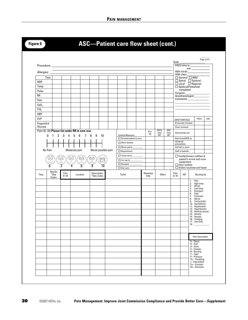|                  |                                                 |                  |                                                               |                                       |                         |                                                      |                         |                          |  |                  |                                                            |             | Date:            |                                           |                     | PACU time in:                                    |     |
|------------------|-------------------------------------------------|------------------|---------------------------------------------------------------|---------------------------------------|-------------------------|------------------------------------------------------|-------------------------|--------------------------|--|------------------|------------------------------------------------------------|-------------|------------------|-------------------------------------------|---------------------|--------------------------------------------------|-----|
|                  |                                                 |                  |                                                               |                                       |                         |                                                      |                         |                          |  |                  |                                                            |             |                  |                                           |                     | out:                                             |     |
|                  | Allergies: _____                                |                  |                                                               |                                       |                         |                                                      |                         |                          |  |                  |                                                            |             |                  | ASA class                                 |                     |                                                  |     |
| <b>NBP</b>       | Time                                            |                  |                                                               |                                       |                         |                                                      |                         |                          |  |                  |                                                            |             |                  | $\Box$ General $\Box$ MAC                 |                     |                                                  |     |
|                  |                                                 |                  |                                                               |                                       |                         |                                                      |                         |                          |  |                  |                                                            |             |                  | □ Spinal □ Epidural<br>□ Local □ Regional |                     |                                                  |     |
| Temp<br>Pulse    |                                                 |                  |                                                               |                                       |                         |                                                      |                         |                          |  |                  |                                                            |             |                  | Epidural/Flowsheet<br>completed           |                     |                                                  |     |
| <b>RR</b>        |                                                 |                  |                                                               |                                       |                         |                                                      |                         |                          |  |                  |                                                            |             |                  | Surgeon:                                  |                     | Anesthesiologist:____________                    |     |
| Pain             |                                                 |                  |                                                               |                                       |                         |                                                      |                         |                          |  |                  |                                                            |             |                  |                                           |                     | Comments: _______________                        |     |
| SaO <sub>2</sub> |                                                 |                  |                                                               |                                       |                         |                                                      |                         |                          |  |                  |                                                            |             |                  |                                           |                     |                                                  |     |
| F10 <sub>2</sub> |                                                 |                  |                                                               |                                       |                         |                                                      |                         |                          |  |                  |                                                            |             |                  |                                           |                     |                                                  |     |
| ABP              |                                                 |                  |                                                               |                                       |                         |                                                      |                         |                          |  |                  |                                                            |             |                  |                                           |                     |                                                  |     |
| <b>CVP</b>       |                                                 |                  |                                                               |                                       |                         |                                                      |                         |                          |  |                  |                                                            |             |                  | SAFETY/INITIALS                           |                     | PACU                                             | ASC |
| Fingerstick      |                                                 |                  |                                                               |                                       |                         |                                                      |                         |                          |  |                  |                                                            |             |                  | ID bracelet checked                       |                     |                                                  |     |
| Glucose          |                                                 |                  |                                                               |                                       |                         |                                                      |                         |                          |  |                  |                                                            |             |                  | Chart reviewed                            |                     |                                                  |     |
|                  |                                                 |                  | Pain (0-10) Please list under RR in own row.                  |                                       |                         |                                                      |                         |                          |  | Pre-<br>0p       | PACU<br>Time                                               | ASC<br>Time |                  | Alarms/limits set                         |                     |                                                  |     |
|                  | $2^{\circ}$<br>$\mathbf{1}$<br>0                | 3                | $\overline{4}$<br>5 <sup>1</sup><br>6<br>7 <sup>7</sup>       | 8<br>9                                | 10                      |                                                      | <b>Comfort Measures</b> | Oriented patient to area |  |                  | INT                                                        | INT         |                  | Bed locked/BSR up                         |                     |                                                  |     |
|                  |                                                 |                  |                                                               |                                       |                         |                                                      | □ Warm blanket          |                          |  |                  |                                                            |             | Universal        | precautions                               |                     |                                                  |     |
|                  |                                                 |                  |                                                               |                                       |                         |                                                      | □ Warm pad to:          |                          |  |                  |                                                            |             |                  | Call bell in reach                        |                     |                                                  |     |
|                  | No Pain<br>Moderate pain<br>Worst possible pain |                  |                                                               | Repositioned                          |                         |                                                      |                         |                          |  |                  | Staff at bedside                                           |             |                  |                                           |                     |                                                  |     |
|                  | $\odot$                                         | <u>୍ତି</u>       | $\begin{bmatrix} 0 \\ -1 \end{bmatrix}$<br>$\overline{\odot}$ | $\bigcirc \limits_{-\infty}^{\infty}$ |                         |                                                      |                         | □ Towel roll to:         |  |                  |                                                            |             |                  |                                           |                     | Family/Contact notified of                       |     |
|                  |                                                 |                  |                                                               |                                       | $\frac{\Theta}{\Omega}$ | $\Box$ Ice cap to: $\Box$<br>$\Box$ Elevated: $\Box$ |                         |                          |  |                  | patient's arrival and room<br>assignment<br>Floor notified |             |                  |                                           |                     |                                                  |     |
|                  |                                                 |                  |                                                               | ឨ                                     |                         |                                                      | $\Box$ Oral care        |                          |  |                  |                                                            |             |                  |                                           |                     | □ Orders received and faxed                      |     |
| Time             | Nsg Dx<br>*See<br>Codes                         | Pain<br>$0 - 10$ | Location                                                      | Description<br>*See codes             |                         |                                                      | Tx/Int.                 |                          |  | Reassess<br>time | Effect                                                     |             | Pain<br>$0 - 10$ | <b>INT</b>                                |                     | Nursing Dx                                       |     |
|                  |                                                 |                  |                                                               |                                       |                         |                                                      |                         |                          |  |                  |                                                            |             |                  |                                           | 1. Pain             |                                                  |     |
|                  |                                                 |                  |                                                               |                                       |                         |                                                      |                         |                          |  |                  |                                                            |             |                  |                                           | 3.                  | 2. High temp<br>Shiver                           |     |
|                  |                                                 |                  |                                                               |                                       |                         |                                                      |                         |                          |  |                  |                                                            |             |                  |                                           | 5.                  | 4. Low temp<br>Emergent                          |     |
|                  |                                                 |                  |                                                               |                                       |                         |                                                      |                         |                          |  |                  |                                                            |             |                  |                                           | 6.<br>7.            | Cold<br>Confused                                 |     |
|                  |                                                 |                  |                                                               |                                       |                         |                                                      |                         |                          |  |                  |                                                            |             |                  |                                           | 8.<br>9.            | Apnea<br>Tachycardia                             |     |
|                  |                                                 |                  |                                                               |                                       |                         |                                                      |                         |                          |  |                  |                                                            |             |                  |                                           |                     | 10. Dysrhythmia<br>11. Hypotension               |     |
|                  |                                                 |                  |                                                               |                                       |                         |                                                      |                         |                          |  |                  |                                                            |             |                  |                                           |                     |                                                  |     |
|                  |                                                 |                  |                                                               |                                       |                         |                                                      |                         |                          |  |                  |                                                            |             |                  |                                           |                     | 12. Hypertension                                 |     |
|                  |                                                 |                  |                                                               |                                       |                         |                                                      |                         |                          |  |                  |                                                            |             |                  |                                           |                     | 13. Artificial airway<br>14. Anxiety             |     |
|                  |                                                 |                  |                                                               |                                       |                         |                                                      |                         |                          |  |                  |                                                            |             |                  |                                           |                     | 15. Nausea<br>16. Vomiting                       |     |
|                  |                                                 |                  |                                                               |                                       |                         |                                                      |                         |                          |  |                  |                                                            |             |                  |                                           | 18.                 | 17. Low $SaO2$                                   |     |
|                  |                                                 |                  |                                                               |                                       |                         |                                                      |                         |                          |  |                  |                                                            |             |                  |                                           |                     |                                                  |     |
|                  |                                                 |                  |                                                               |                                       |                         |                                                      |                         |                          |  |                  |                                                            |             |                  |                                           |                     | Pain description                                 |     |
|                  |                                                 |                  |                                                               |                                       |                         |                                                      |                         |                          |  |                  |                                                            |             |                  |                                           |                     | S-Sharp                                          |     |
|                  |                                                 |                  |                                                               |                                       |                         |                                                      |                         |                          |  |                  |                                                            |             |                  |                                           | $D$ —Dull<br>A-Achy |                                                  |     |
|                  |                                                 |                  |                                                               |                                       |                         |                                                      |                         |                          |  |                  |                                                            |             |                  |                                           |                     | $C - C$ rampy<br>B-Burning                       |     |
|                  |                                                 |                  |                                                               |                                       |                         |                                                      |                         |                          |  |                  |                                                            |             |                  |                                           | $T$ -Tight          | P-Pressure                                       |     |
|                  |                                                 |                  |                                                               |                                       |                         |                                                      |                         |                          |  |                  |                                                            |             |                  |                                           |                     | Th-Throbbing<br>I-Intermittent<br>$Co$ -Constant |     |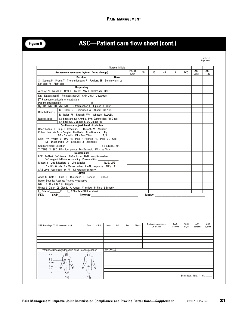## **Figure 6 ASC—Patient care flow sheet (cont.)**

|                                         |                                                                                                                                                                                                                                     |                                               |       |           | Nurse's initials |      |       |             |                                    |                 |                 |                |                |
|-----------------------------------------|-------------------------------------------------------------------------------------------------------------------------------------------------------------------------------------------------------------------------------------|-----------------------------------------------|-------|-----------|------------------|------|-------|-------------|------------------------------------|-----------------|-----------------|----------------|----------------|
|                                         | Assessment use codes (N/A or for no change)                                                                                                                                                                                         |                                               |       |           |                  | PACU |       | 15<br>30    | 45                                 | $\mathbf{1}$    | D/C             | ASC            | ASC            |
|                                         | <b>Position</b>                                                                                                                                                                                                                     |                                               |       |           | Times:           | Adm  |       |             |                                    |                 |                 | Adm            | D/C            |
|                                         | S-Supine; P-Prone; T-Trendenlenburg; F-Fowlers; SF-Semifowlers; Lt-                                                                                                                                                                 |                                               |       |           |                  |      |       |             |                                    |                 |                 |                |                |
| Left side: Rt - Right side              |                                                                                                                                                                                                                                     |                                               |       |           |                  |      |       |             |                                    |                 |                 |                |                |
|                                         | Respiratory                                                                                                                                                                                                                         |                                               |       |           |                  |      |       |             |                                    |                 |                 |                |                |
|                                         | Airway: N - Nasal; O - Oral; T - Trach; LMA; ET Oral/Nasal Rt/Lt                                                                                                                                                                    |                                               |       |           |                  |      |       |             |                                    |                 |                 |                |                |
|                                         | Ext - Extubated; RT - Reintubated; CH - Chin Lift; J - Jawthrust                                                                                                                                                                    |                                               |       |           |                  |      |       |             |                                    |                 |                 |                |                |
| Patient extubated by                    | $\Box$ Patient met criteria for extubation                                                                                                                                                                                          | $^{\circ}$                                    |       |           |                  |      |       |             |                                    |                 |                 |                |                |
|                                         | 0 <sub>2</sub> - RA NC BH VM NRB TC-trach collar T - T-piece V- Vent                                                                                                                                                                |                                               |       |           |                  |      |       |             |                                    |                 |                 |                |                |
|                                         | CL-Clear D-Diminished A-Absent RUL/LUL                                                                                                                                                                                              |                                               |       |           |                  |      |       |             |                                    |                 |                 |                |                |
| <b>Breath Sounds:</b>                   | R-Rales Rh-Rhonchi Wh-Wheeze RLL/LLL                                                                                                                                                                                                |                                               |       |           |                  |      |       |             |                                    |                 |                 |                |                |
| Respirations                            | Sp-Spontaneous / Ambu / Sym-Symmetrical / D-Deep                                                                                                                                                                                    |                                               |       |           |                  |      |       |             |                                    |                 |                 |                |                |
|                                         | Sh-Shallow / L-Labored / UL-Unlabored                                                                                                                                                                                               |                                               |       |           |                  |      |       |             |                                    |                 |                 |                |                |
|                                         | <b>Cardiovascular/peripheral circulation</b>                                                                                                                                                                                        |                                               |       |           |                  |      |       |             |                                    |                 |                 |                |                |
|                                         | Heart Tones: $R - Reg / I - Irregular / D - Distant / M - Murmur$<br>Pulses: NA +/- Dp - Doppler R - Radial Br - Brachial R/L                                                                                                       |                                               |       |           |                  |      |       |             |                                    |                 |                 |                |                |
|                                         | $DP - Dorsalis PT - Post Tibial$ $R/L$                                                                                                                                                                                              |                                               |       |           |                  |      |       |             |                                    |                 |                 |                |                |
|                                         | Skin: W-Warm D-Dry Pk-Pink FI-Flushed PL-Pale CL-Cool                                                                                                                                                                               |                                               |       |           |                  |      |       |             |                                    |                 |                 |                |                |
|                                         | $Dp$ - Diaphoretic $Cy$ - Cyanotic $J$ - Jaundice                                                                                                                                                                                   |                                               |       |           |                  |      |       |             |                                    |                 |                 |                |                |
|                                         | Capillary Refill: Location                                                                                                                                                                                                          | $>$ / < 3 sec. / NA                           |       |           |                  |      |       |             |                                    |                 |                 |                |                |
|                                         | T: TEDS S: SCD FP - foot pumps D - Durakold IM - Ice Man<br>Neurological                                                                                                                                                            |                                               |       |           |                  |      |       |             |                                    |                 |                 |                |                |
|                                         | LOC: A-Alert O-Oriented C-Confused D-Drowsy/Arousable                                                                                                                                                                               |                                               |       |           |                  |      |       |             |                                    |                 |                 |                |                |
|                                         | E-Emergent NR-Not responding Pre-condition:                                                                                                                                                                                         |                                               |       |           |                  |      |       |             |                                    |                 |                 |                |                |
|                                         | Motor: 4 - Lifts & Resists 3 - Lifts & holds                                                                                                                                                                                        |                                               |       | RUE / LUE |                  |      |       |             |                                    |                 |                 |                |                |
|                                         | 2-Lifts & falls 1-Moves on bed 0-No response RLE/LLE<br>SAB Level Use code or FR-full return of sensory                                                                                                                             |                                               |       |           |                  |      |       |             |                                    |                 |                 |                |                |
|                                         | GI/GU                                                                                                                                                                                                                               |                                               |       |           |                  |      |       |             |                                    |                 |                 |                |                |
|                                         | Abd.: S-Soft F-Firm D-Distended T-Tender 0-Obese                                                                                                                                                                                    |                                               |       |           |                  |      |       |             |                                    |                 |                 |                |                |
|                                         | Bowel Sounds: Absent / Active / Hypoactive                                                                                                                                                                                          |                                               |       |           |                  |      |       |             |                                    |                 |                 |                |                |
| NG $Rt/Lt / LIS / C - Capped$           |                                                                                                                                                                                                                                     |                                               |       |           |                  |      |       |             |                                    |                 |                 |                |                |
|                                         | Urine: C-Clear CL-Cloudy A-Amber Y-Yellow P-Pink B-Bloody<br>$\Box$ Foley # _________ Fr. $\Box$ CBI – See GU flow sheet                                                                                                            |                                               |       |           |                  |      |       |             |                                    |                 |                 |                |                |
| EKG                                     | <b>Lead:</b> the contract of the contract of the contract of the contract of the contract of the contract of the contract of the contract of the contract of the contract of the contract of the contract of the contract of the co | <b>Rhythm:</b> <u>Alexander Communication</u> |       |           |                  |      |       | Nurse: ____ |                                    |                 |                 |                |                |
|                                         |                                                                                                                                                                                                                                     |                                               |       |           |                  |      |       |             |                                    |                 |                 |                |                |
|                                         |                                                                                                                                                                                                                                     |                                               | C/D/I | Patent    | Inflt.           | Red  | Edema |             | Drainage on dressing<br>Cm's/Color | PACU<br>adm/int | PACU<br>d/c/int | ASC<br>adm/int | ASC<br>D/c/int |
| SITE (Dressings, IV, JP, Hemovac, etc.) |                                                                                                                                                                                                                                     | Time                                          |       |           |                  |      |       |             |                                    |                 |                 |                |                |
|                                         |                                                                                                                                                                                                                                     |                                               |       |           |                  |      |       |             |                                    |                 |                 |                |                |
|                                         |                                                                                                                                                                                                                                     |                                               |       |           |                  |      |       |             |                                    |                 |                 |                |                |
|                                         |                                                                                                                                                                                                                                     |                                               |       |           |                  |      |       |             |                                    |                 |                 |                |                |
|                                         |                                                                                                                                                                                                                                     |                                               |       |           |                  |      |       |             |                                    |                 |                 |                |                |
|                                         |                                                                                                                                                                                                                                     |                                               |       |           |                  |      |       |             |                                    |                 |                 |                |                |
|                                         | Wounds/Dressings/Invasive sites (please number)                                                                                                                                                                                     |                                               |       | NN (PACU) |                  |      |       |             |                                    |                 |                 |                |                |
| T <sub>2</sub>                          |                                                                                                                                                                                                                                     |                                               |       |           |                  |      |       |             |                                    |                 |                 |                |                |
| T10                                     |                                                                                                                                                                                                                                     |                                               |       |           |                  |      |       |             |                                    |                 |                 |                |                |
| T12                                     |                                                                                                                                                                                                                                     |                                               |       |           |                  |      |       |             |                                    |                 |                 |                |                |
| L <sub>2</sub><br>L <sub>4</sub>        |                                                                                                                                                                                                                                     |                                               |       |           |                  |      |       |             |                                    |                 |                 |                |                |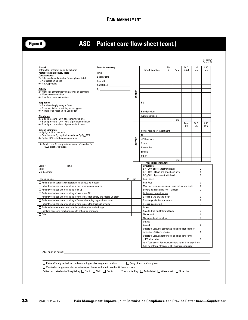| <b>Transfer summary:</b><br>Phase I<br>Criteria for Fast-tracking and discharge<br>Postanesthesia recovery score<br><b>Consciousness</b><br>2 = Fully awake and oriented (name, place, date)<br>$1 =$ Arousable on calling<br>$0 = Not responding$<br><b>Activity</b><br>2 = Moves all extremities voluntarily or on command<br>$1 =$ Moves two extremities<br>$0 =$ Unable to move extremities<br><b>Respiration</b><br>2 = Breathes deeply, coughs freely<br>1 = Dyspnea, limited breathing, or tachypnea<br>$0 =$ Apneic or on mechanical ventilation<br><b>Circulation</b><br>$2 =$ Blood pressure $\pm$ 20% of preanesthetic level<br>1 = Blood pressure $\pm$ 20% -49% of preanesthetic level<br>$0 =$ Blood pressure $\pm$ 50% of preanesthetic level<br><b>Oxygen saturation</b><br>$2 = SpO2 \ge 92\%$ on room air<br>1 = Supplemental $02$ required to maintain Sp $02$ > 90%<br>$0 = Sp02 \le 92\%$ with $02$ supplementation<br>10 = Total score; Score greater or equal to 9 needed for<br>PACU discharge/bypass<br>$\text{Score} = \fbox{ \textbf{Time:} \textbf{3} } \text{ \textbf{Time:} \textbf{3} } \text{ \textbf{3} } \text{ \textbf{4} } \text{ \textbf{5} } \text{ \textbf{6} } \text{ \textbf{1} } \text{ \textbf{1} } \text{ \textbf{2} } \text{ \textbf{1} } \text{ \textbf{2} } \text{ \textbf{3} } \text{ \textbf{4} } \text{ \textbf{5} } \text{ \textbf{1} } \text{ \textbf{2} } \text{ \textbf{3} } \text{ \textbf{4} } \text{ \textbf{5} } \text{ \textbf{1}$ | <b>INTAKE</b><br><b>DUTPUT</b> | IV solution/time<br>P <sub>0</sub><br><b>Blood product</b><br>Autotransfusion<br>Urine: Void, foley, incontinent<br>ΝG<br>JP/Hemovac<br>T tube | Site<br># | Rate<br>Total | PACU<br>total<br>From<br>0R | Left<br>up<br>PACU             | ASC<br>total |
|-----------------------------------------------------------------------------------------------------------------------------------------------------------------------------------------------------------------------------------------------------------------------------------------------------------------------------------------------------------------------------------------------------------------------------------------------------------------------------------------------------------------------------------------------------------------------------------------------------------------------------------------------------------------------------------------------------------------------------------------------------------------------------------------------------------------------------------------------------------------------------------------------------------------------------------------------------------------------------------------------------------------------------------------------------------------------------------------------------------------------------------------------------------------------------------------------------------------------------------------------------------------------------------------------------------------------------------------------------------------------------------------------------------------------------------------------------------------------------------------------|--------------------------------|------------------------------------------------------------------------------------------------------------------------------------------------|-----------|---------------|-----------------------------|--------------------------------|--------------|
|                                                                                                                                                                                                                                                                                                                                                                                                                                                                                                                                                                                                                                                                                                                                                                                                                                                                                                                                                                                                                                                                                                                                                                                                                                                                                                                                                                                                                                                                                               |                                |                                                                                                                                                |           |               |                             |                                |              |
|                                                                                                                                                                                                                                                                                                                                                                                                                                                                                                                                                                                                                                                                                                                                                                                                                                                                                                                                                                                                                                                                                                                                                                                                                                                                                                                                                                                                                                                                                               |                                |                                                                                                                                                |           |               |                             |                                |              |
|                                                                                                                                                                                                                                                                                                                                                                                                                                                                                                                                                                                                                                                                                                                                                                                                                                                                                                                                                                                                                                                                                                                                                                                                                                                                                                                                                                                                                                                                                               |                                |                                                                                                                                                |           |               |                             |                                |              |
|                                                                                                                                                                                                                                                                                                                                                                                                                                                                                                                                                                                                                                                                                                                                                                                                                                                                                                                                                                                                                                                                                                                                                                                                                                                                                                                                                                                                                                                                                               |                                |                                                                                                                                                |           |               |                             |                                |              |
|                                                                                                                                                                                                                                                                                                                                                                                                                                                                                                                                                                                                                                                                                                                                                                                                                                                                                                                                                                                                                                                                                                                                                                                                                                                                                                                                                                                                                                                                                               |                                |                                                                                                                                                |           |               |                             |                                |              |
|                                                                                                                                                                                                                                                                                                                                                                                                                                                                                                                                                                                                                                                                                                                                                                                                                                                                                                                                                                                                                                                                                                                                                                                                                                                                                                                                                                                                                                                                                               |                                |                                                                                                                                                |           |               |                             |                                |              |
|                                                                                                                                                                                                                                                                                                                                                                                                                                                                                                                                                                                                                                                                                                                                                                                                                                                                                                                                                                                                                                                                                                                                                                                                                                                                                                                                                                                                                                                                                               |                                |                                                                                                                                                |           |               |                             |                                |              |
|                                                                                                                                                                                                                                                                                                                                                                                                                                                                                                                                                                                                                                                                                                                                                                                                                                                                                                                                                                                                                                                                                                                                                                                                                                                                                                                                                                                                                                                                                               |                                |                                                                                                                                                |           |               |                             |                                |              |
|                                                                                                                                                                                                                                                                                                                                                                                                                                                                                                                                                                                                                                                                                                                                                                                                                                                                                                                                                                                                                                                                                                                                                                                                                                                                                                                                                                                                                                                                                               |                                |                                                                                                                                                |           |               |                             |                                |              |
|                                                                                                                                                                                                                                                                                                                                                                                                                                                                                                                                                                                                                                                                                                                                                                                                                                                                                                                                                                                                                                                                                                                                                                                                                                                                                                                                                                                                                                                                                               |                                |                                                                                                                                                |           |               |                             |                                |              |
|                                                                                                                                                                                                                                                                                                                                                                                                                                                                                                                                                                                                                                                                                                                                                                                                                                                                                                                                                                                                                                                                                                                                                                                                                                                                                                                                                                                                                                                                                               |                                |                                                                                                                                                |           |               |                             |                                |              |
|                                                                                                                                                                                                                                                                                                                                                                                                                                                                                                                                                                                                                                                                                                                                                                                                                                                                                                                                                                                                                                                                                                                                                                                                                                                                                                                                                                                                                                                                                               |                                |                                                                                                                                                |           |               |                             | D/C                            | ASC<br>D/C   |
|                                                                                                                                                                                                                                                                                                                                                                                                                                                                                                                                                                                                                                                                                                                                                                                                                                                                                                                                                                                                                                                                                                                                                                                                                                                                                                                                                                                                                                                                                               |                                |                                                                                                                                                |           |               |                             |                                |              |
|                                                                                                                                                                                                                                                                                                                                                                                                                                                                                                                                                                                                                                                                                                                                                                                                                                                                                                                                                                                                                                                                                                                                                                                                                                                                                                                                                                                                                                                                                               |                                |                                                                                                                                                |           |               |                             |                                |              |
|                                                                                                                                                                                                                                                                                                                                                                                                                                                                                                                                                                                                                                                                                                                                                                                                                                                                                                                                                                                                                                                                                                                                                                                                                                                                                                                                                                                                                                                                                               |                                |                                                                                                                                                |           |               |                             |                                |              |
|                                                                                                                                                                                                                                                                                                                                                                                                                                                                                                                                                                                                                                                                                                                                                                                                                                                                                                                                                                                                                                                                                                                                                                                                                                                                                                                                                                                                                                                                                               |                                |                                                                                                                                                |           |               |                             |                                |              |
|                                                                                                                                                                                                                                                                                                                                                                                                                                                                                                                                                                                                                                                                                                                                                                                                                                                                                                                                                                                                                                                                                                                                                                                                                                                                                                                                                                                                                                                                                               |                                | Chest tube<br>Emesis                                                                                                                           |           |               |                             |                                |              |
|                                                                                                                                                                                                                                                                                                                                                                                                                                                                                                                                                                                                                                                                                                                                                                                                                                                                                                                                                                                                                                                                                                                                                                                                                                                                                                                                                                                                                                                                                               |                                | Other                                                                                                                                          |           |               |                             |                                |              |
|                                                                                                                                                                                                                                                                                                                                                                                                                                                                                                                                                                                                                                                                                                                                                                                                                                                                                                                                                                                                                                                                                                                                                                                                                                                                                                                                                                                                                                                                                               |                                |                                                                                                                                                |           | Total:        |                             |                                |              |
|                                                                                                                                                                                                                                                                                                                                                                                                                                                                                                                                                                                                                                                                                                                                                                                                                                                                                                                                                                                                                                                                                                                                                                                                                                                                                                                                                                                                                                                                                               |                                | <b>Phase II recovery ASC</b><br>Circulation:                                                                                                   |           |               |                             |                                |              |
|                                                                                                                                                                                                                                                                                                                                                                                                                                                                                                                                                                                                                                                                                                                                                                                                                                                                                                                                                                                                                                                                                                                                                                                                                                                                                                                                                                                                                                                                                               |                                | $BP \pm 20\%$ of pre-anesthetic level<br>BP $\pm$ 20%-49% of pre-anesthetic level                                                              |           |               |                             | $\overline{2}$<br>$\mathbf{1}$ |              |
|                                                                                                                                                                                                                                                                                                                                                                                                                                                                                                                                                                                                                                                                                                                                                                                                                                                                                                                                                                                                                                                                                                                                                                                                                                                                                                                                                                                                                                                                                               | INT/Time                       | $BP \pm 50\%$ of pre-anesthetic level<br>Pain Level:                                                                                           |           |               |                             | 0                              |              |
| Teaching goals<br>□ Patient/family verbalizes understanding of post-op process                                                                                                                                                                                                                                                                                                                                                                                                                                                                                                                                                                                                                                                                                                                                                                                                                                                                                                                                                                                                                                                                                                                                                                                                                                                                                                                                                                                                                |                                | Pain Free                                                                                                                                      |           |               |                             | $\overline{2}$                 |              |
| $\Box$ Patient verbalizes understanding of pain management options                                                                                                                                                                                                                                                                                                                                                                                                                                                                                                                                                                                                                                                                                                                                                                                                                                                                                                                                                                                                                                                                                                                                                                                                                                                                                                                                                                                                                            |                                | Mild pain (4 or less on scale) resolved by oral meds                                                                                           |           |               |                             | $\mathbf{1}$                   |              |
| □ Patient verbalizes understanding of TCDB<br>□ Patient verbalizes understanding of take home RXs                                                                                                                                                                                                                                                                                                                                                                                                                                                                                                                                                                                                                                                                                                                                                                                                                                                                                                                                                                                                                                                                                                                                                                                                                                                                                                                                                                                             |                                | Severe pain requiring IV or IM meds<br>Incision or procedure site:                                                                             |           |               |                             | 0                              |              |
| □ Patient verbalizes understanding of how to care for, empty and record JP drain                                                                                                                                                                                                                                                                                                                                                                                                                                                                                                                                                                                                                                                                                                                                                                                                                                                                                                                                                                                                                                                                                                                                                                                                                                                                                                                                                                                                              |                                | Dressing/Site dry and clean                                                                                                                    |           |               |                             | $\overline{2}$                 |              |
| □ Patient verbalizes understanding of foley catheter/leg bag/catheter care                                                                                                                                                                                                                                                                                                                                                                                                                                                                                                                                                                                                                                                                                                                                                                                                                                                                                                                                                                                                                                                                                                                                                                                                                                                                                                                                                                                                                    |                                | Dressing moist but stationary                                                                                                                  |           |               |                             | $\mathbf{1}$                   |              |
| $\Box$ Patient verbalizes understanding of how to care for dressings at home<br>Patient demonstrates use of crutches/walker prior to discharge                                                                                                                                                                                                                                                                                                                                                                                                                                                                                                                                                                                                                                                                                                                                                                                                                                                                                                                                                                                                                                                                                                                                                                                                                                                                                                                                                |                                | Dressing saturated<br>Intake:                                                                                                                  |           |               |                             | 0                              |              |
| $\Box$ Smoking cessation brochure given to patient or caregiver                                                                                                                                                                                                                                                                                                                                                                                                                                                                                                                                                                                                                                                                                                                                                                                                                                                                                                                                                                                                                                                                                                                                                                                                                                                                                                                                                                                                                               |                                | Able to drink and tolerate fluids                                                                                                              |           |               |                             | $\overline{2}$                 |              |
| $\Box$ Other                                                                                                                                                                                                                                                                                                                                                                                                                                                                                                                                                                                                                                                                                                                                                                                                                                                                                                                                                                                                                                                                                                                                                                                                                                                                                                                                                                                                                                                                                  |                                | Nauseated                                                                                                                                      |           |               |                             |                                |              |
|                                                                                                                                                                                                                                                                                                                                                                                                                                                                                                                                                                                                                                                                                                                                                                                                                                                                                                                                                                                                                                                                                                                                                                                                                                                                                                                                                                                                                                                                                               |                                | Nauseated and vomiting<br>Output:                                                                                                              |           |               |                             | 0                              |              |
|                                                                                                                                                                                                                                                                                                                                                                                                                                                                                                                                                                                                                                                                                                                                                                                                                                                                                                                                                                                                                                                                                                                                                                                                                                                                                                                                                                                                                                                                                               |                                | Voided                                                                                                                                         |           |               |                             | $\overline{2}$                 |              |
|                                                                                                                                                                                                                                                                                                                                                                                                                                                                                                                                                                                                                                                                                                                                                                                                                                                                                                                                                                                                                                                                                                                                                                                                                                                                                                                                                                                                                                                                                               |                                | Unable to void, but comfortable and bladder scanner<br>indicates $\leq$ 200 ml's of urine                                                      |           |               |                             | $\mathbf{1}$                   |              |
|                                                                                                                                                                                                                                                                                                                                                                                                                                                                                                                                                                                                                                                                                                                                                                                                                                                                                                                                                                                                                                                                                                                                                                                                                                                                                                                                                                                                                                                                                               |                                | Unable to void, uncomfortable and bladder scanner                                                                                              |           |               |                             |                                |              |
|                                                                                                                                                                                                                                                                                                                                                                                                                                                                                                                                                                                                                                                                                                                                                                                                                                                                                                                                                                                                                                                                                                                                                                                                                                                                                                                                                                                                                                                                                               |                                | $\geq$ 400 ml of urine                                                                                                                         |           |               |                             | 0                              |              |
|                                                                                                                                                                                                                                                                                                                                                                                                                                                                                                                                                                                                                                                                                                                                                                                                                                                                                                                                                                                                                                                                                                                                                                                                                                                                                                                                                                                                                                                                                               |                                | 10 = Total score. Patient must score ≥9 for discharge from<br>ASC by criteria; otherwise, MD discharge required.                               |           |               |                             |                                |              |
|                                                                                                                                                                                                                                                                                                                                                                                                                                                                                                                                                                                                                                                                                                                                                                                                                                                                                                                                                                                                                                                                                                                                                                                                                                                                                                                                                                                                                                                                                               |                                |                                                                                                                                                |           |               |                             |                                |              |
|                                                                                                                                                                                                                                                                                                                                                                                                                                                                                                                                                                                                                                                                                                                                                                                                                                                                                                                                                                                                                                                                                                                                                                                                                                                                                                                                                                                                                                                                                               |                                |                                                                                                                                                |           |               |                             |                                |              |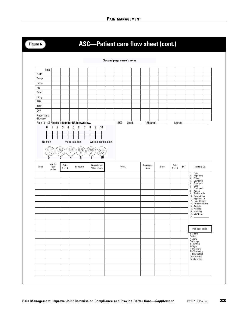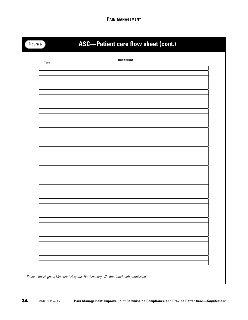| Figure 6 | <b>ASC-Patient care flow sheet (cont.)</b> |
|----------|--------------------------------------------|
| Time     | <b>Nurse's notes</b>                       |
|          |                                            |
|          |                                            |
|          |                                            |
|          |                                            |
|          |                                            |
|          |                                            |
|          |                                            |
|          |                                            |
|          |                                            |
|          |                                            |
|          |                                            |
|          |                                            |
|          |                                            |
|          |                                            |
|          |                                            |
|          |                                            |
|          |                                            |
|          |                                            |
|          |                                            |
|          |                                            |
|          |                                            |
|          |                                            |
|          |                                            |
|          |                                            |
|          |                                            |
|          |                                            |
|          |                                            |
|          |                                            |
|          |                                            |
|          |                                            |
|          |                                            |
|          |                                            |
|          |                                            |
|          |                                            |
|          |                                            |
|          |                                            |

Source: Rockingham Memorial Hospital, Harrisonburg, VA. Reprinted with permission.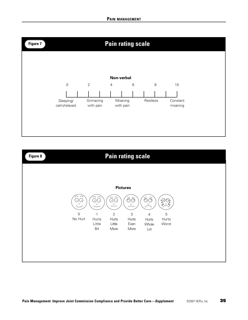

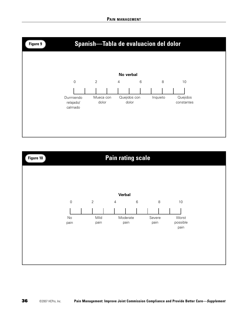

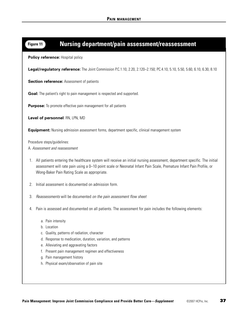## **Figure 11 Nursing department/pain assessment/reassessment**

**Policy reference:** Hospital policy

**Legal/regulatory reference:** The Joint Commission P.C.1.10, 2.20, 2.120–2.150; PC.4.10, 5.10, 5.50, 5.60, 6.10, 6.30, 8.10

**Section reference:** Assessment of patients

**Goal:** The patient's right to pain management is respected and supported.

**Purpose:** To promote effective pain management for all patients

**Level of personnel**: RN, LPN, MD

**Equipment:** Nursing admission assessment forms, department specific, clinical management system

Procedure steps/guidelines: A. Assessment and reassessment

- 1. All patients entering the healthcare system will receive an initial nursing assessment, department specific. The initial assessment will rate pain using a 0–10 point scale or Neonatal Infant Pain Scale, Premature Infant Pain Profile, or Wong-Baker Pain Rating Scale as appropriate.
- 2. Initial assessment is documented on admission form.
- 3. Reassessments will be documented on the pain assessment flow sheet
- 4. Pain is assessed and documented on all patients. The assessment for pain includes the following elements:
	- a. Pain intensity
	- b. Location
	- c. Quality, patterns of radiation, character
	- d. Response to medication, duration, variation, and patterns
	- e. Alleviating and aggravating factors
	- f. Present pain management regimen and effectiveness
	- g. Pain management history
	- h. Physical exam/observation of pain site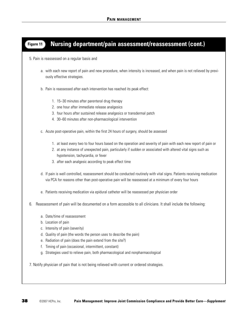## **Figure 11 Nursing department/pain assessment/reassessment (cont.)**

5. Pain is reassessed on a regular basis and

- a. with each new report of pain and new procedure, when intensity is increased, and when pain is not relieved by previously effective strategies.
- b. Pain is reassessed after each intervention has reached its peak effect:
	- 1. 15–30 minutes after parenteral drug therapy
	- 2. one hour after immediate release analgesics
	- 3. four hours after sustained release analgesics or transdermal patch
	- 4. 30–60 minutes after non-pharmacological intervention
- c. Acute post-operative pain, within the first 24 hours of surgery, should be assessed
	- 1. at least every two to four hours based on the operation and severity of pain with each new report of pain or
	- 2. at any instance of unexpected pain, particularly if sudden or associated with altered vital signs such as hypotension, tachycardia, or fever
	- 3. after each analgesic according to peak effect time
- d. If pain is well controlled, reassessment should be conducted routinely with vital signs. Patients receiving medication via PCA for reasons other than post-operative pain will be reassessed at a minimum of every four hours
- e. Patients receiving medication via epidural catheter will be reassessed per physician order
- 6. Reassessment of pain will be documented on a form accessible to all clinicians. It shall include the following:
	- a. Date/time of reassessment
	- b. Location of pain
	- c. Intensity of pain (severity)
	- d. Quality of pain (the words the person uses to describe the pain)
	- e. Radiation of pain (does the pain extend from the site?)
	- f. Timing of pain (occasional, intermittent, constant)
	- g. Strategies used to relieve pain, both pharmacological and nonpharmacological

7. Notify physician of pain that is not being relieved with current or ordered strategies.